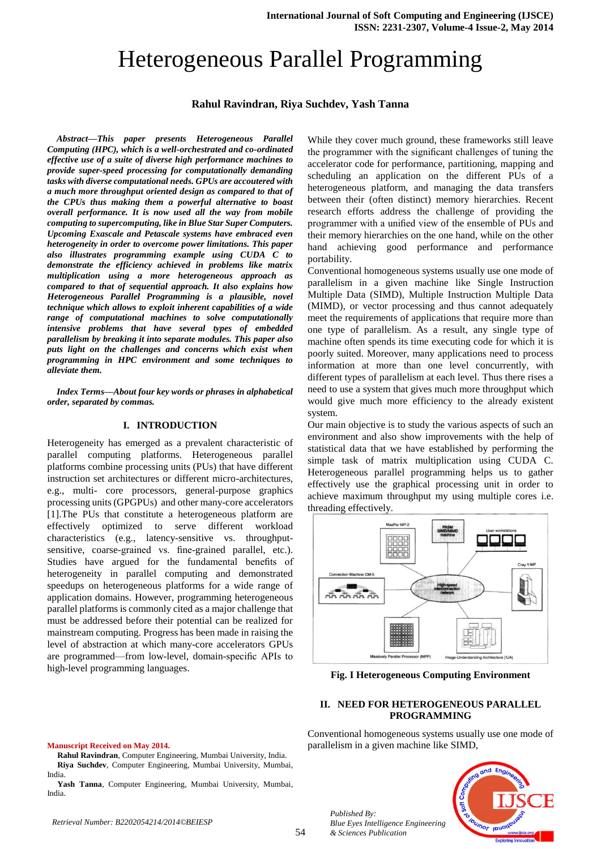# Heterogeneous Parallel Programming

## **Rahul Ravindran, Riya Suchdev, Yash Tanna**

*Abstract—This paper presents Heterogeneous Parallel Computing (HPC), which is a well-orchestrated and co-ordinated effective use of a suite of diverse high performance machines to provide super-speed processing for computationally demanding tasks with diverse computational needs. GPUs are accoutered with a much more throughput oriented design as compared to that of the CPUs thus making them a powerful alternative to boast overall performance. It is now used all the way from mobile computing to supercomputing, like in Blue Star Super Computers. Upcoming Exascale and Petascale systems have embraced even heterogeneity in order to overcome power limitations. This paper also illustrates programming example using CUDA C to demonstrate the efficiency achieved in problems like matrix multiplication using a more heterogeneous approach as compared to that of sequential approach. It also explains how Heterogeneous Parallel Programming is a plausible, novel technique which allows to exploit inherent capabilities of a wide range of computational machines to solve computationally intensive problems that have several types of embedded parallelism by breaking it into separate modules. This paper also puts light on the challenges and concerns which exist when programming in HPC environment and some techniques to alleviate them.*

*Index Terms—About four key words or phrases in alphabetical order, separated by commas.* 

#### **I. INTRODUCTION**

Heterogeneity has emerged as a prevalent characteristic of parallel computing platforms. Heterogeneous parallel platforms combine processing units (PUs) that have different instruction set architectures or different micro-architectures, e.g., multi- core processors, general-purpose graphics processing units (GPGPUs) and other many-core accelerators [1].The PUs that constitute a heterogeneous platform are effectively optimized to serve different workload characteristics (e.g., latency-sensitive vs. throughputsensitive, coarse-grained vs. fine-grained parallel, etc.). Studies have argued for the fundamental benefits of heterogeneity in parallel computing and demonstrated speedups on heterogeneous platforms for a wide range of application domains. However, programming heterogeneous parallel platforms is commonly cited as a major challenge that must be addressed before their potential can be realized for mainstream computing. Progress has been made in raising the level of abstraction at which many-core accelerators GPUs are programmed—from low-level, domain-specific APIs to high-level programming languages.

While they cover much ground, these frameworks still leave the programmer with the significant challenges of tuning the accelerator code for performance, partitioning, mapping and scheduling an application on the different PUs of a heterogeneous platform, and managing the data transfers between their (often distinct) memory hierarchies. Recent research efforts address the challenge of providing the programmer with a unified view of the ensemble of PUs and their memory hierarchies on the one hand, while on the other hand achieving good performance and performance portability.

Conventional homogeneous systems usually use one mode of parallelism in a given machine like Single Instruction Multiple Data (SIMD), Multiple Instruction Multiple Data (MIMD), or vector processing and thus cannot adequately meet the requirements of applications that require more than one type of parallelism. As a result, any single type of machine often spends its time executing code for which it is poorly suited. Moreover, many applications need to process information at more than one level concurrently, with different types of parallelism at each level. Thus there rises a need to use a system that gives much more throughput which would give much more efficiency to the already existent system.

Our main objective is to study the various aspects of such an environment and also show improvements with the help of statistical data that we have established by performing the simple task of matrix multiplication using CUDA C. Heterogeneous parallel programming helps us to gather effectively use the graphical processing unit in order to achieve maximum throughput my using multiple cores i.e. threading effectively.



**Fig. I Heterogeneous Computing Environment**

#### **II. NEED FOR HETEROGENEOUS PARALLEL PROGRAMMING**

Conventional homogeneous systems usually use one mode of parallelism in a given machine like SIMD,



**Rahul Ravindran**, Computer Engineering, Mumbai University, India. **Riya Suchdev**, Computer Engineering, Mumbai University, Mumbai, India.

**Yash Tanna**, Computer Engineering, Mumbai University, Mumbai, India.



*Published By:*

*& Sciences Publication*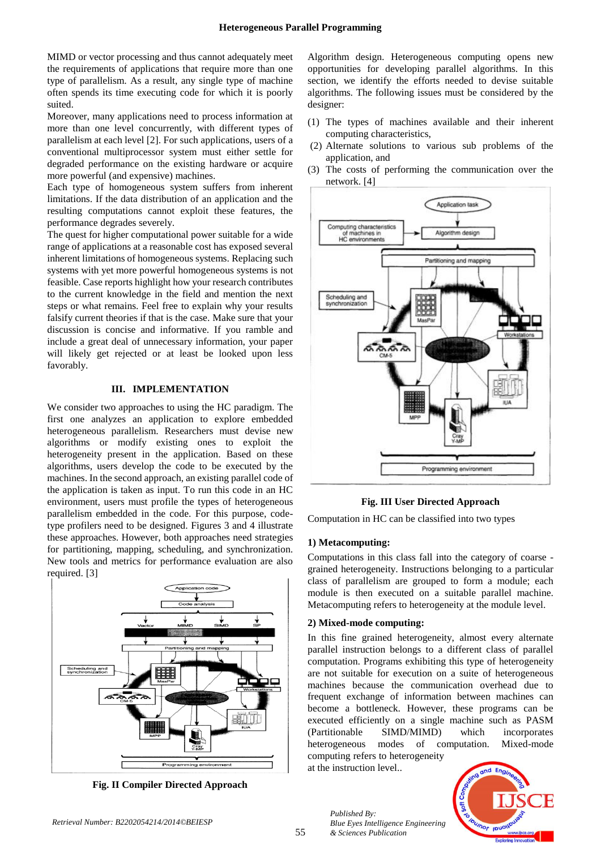MIMD or vector processing and thus cannot adequately meet the requirements of applications that require more than one type of parallelism. As a result, any single type of machine often spends its time executing code for which it is poorly suited.

Moreover, many applications need to process information at more than one level concurrently, with different types of parallelism at each level [2]. For such applications, users of a conventional multiprocessor system must either settle for degraded performance on the existing hardware or acquire more powerful (and expensive) machines.

Each type of homogeneous system suffers from inherent limitations. If the data distribution of an application and the resulting computations cannot exploit these features, the performance degrades severely.

The quest for higher computational power suitable for a wide range of applications at a reasonable cost has exposed several inherent limitations of homogeneous systems. Replacing such systems with yet more powerful homogeneous systems is not feasible. Case reports highlight how your research contributes to the current knowledge in the field and mention the next steps or what remains. Feel free to explain why your results falsify current theories if that is the case. Make sure that your discussion is concise and informative. If you ramble and include a great deal of unnecessary information, your paper will likely get rejected or at least be looked upon less favorably.

## **III. IMPLEMENTATION**

We consider two approaches to using the HC paradigm. The first one analyzes an application to explore embedded heterogeneous parallelism. Researchers must devise new algorithms or modify existing ones to exploit the heterogeneity present in the application. Based on these algorithms, users develop the code to be executed by the machines. In the second approach, an existing parallel code of the application is taken as input. To run this code in an HC environment, users must profile the types of heterogeneous parallelism embedded in the code. For this purpose, codetype profilers need to be designed. Figures 3 and 4 illustrate these approaches. However, both approaches need strategies for partitioning, mapping, scheduling, and synchronization. New tools and metrics for performance evaluation are also required. [3]



**Fig. II Compiler Directed Approach**

Algorithm design. Heterogeneous computing opens new opportunities for developing parallel algorithms. In this section, we identify the efforts needed to devise suitable algorithms. The following issues must be considered by the designer:

- (1) The types of machines available and their inherent computing characteristics,
- (2) Alternate solutions to various sub problems of the application, and
- (3) The costs of performing the communication over the network. [4]



## **Fig. III User Directed Approach**

Computation in HC can be classified into two types

## **1) Metacomputing:**

Computations in this class fall into the category of coarse grained heterogeneity. Instructions belonging to a particular class of parallelism are grouped to form a module; each module is then executed on a suitable parallel machine. Metacomputing refers to heterogeneity at the module level.

## **2) Mixed-mode computing:**

*Published By:*

*& Sciences Publication* 

*Blue Eyes Intelligence Engineering* 

In this fine grained heterogeneity, almost every alternate parallel instruction belongs to a different class of parallel computation. Programs exhibiting this type of heterogeneity are not suitable for execution on a suite of heterogeneous machines because the communication overhead due to frequent exchange of information between machines can become a bottleneck. However, these programs can be executed efficiently on a single machine such as PASM (Partitionable SIMD/MIMD) which incorporates heterogeneous modes of computation. Mixed-mode computing refers to heterogeneity at the instruction level..

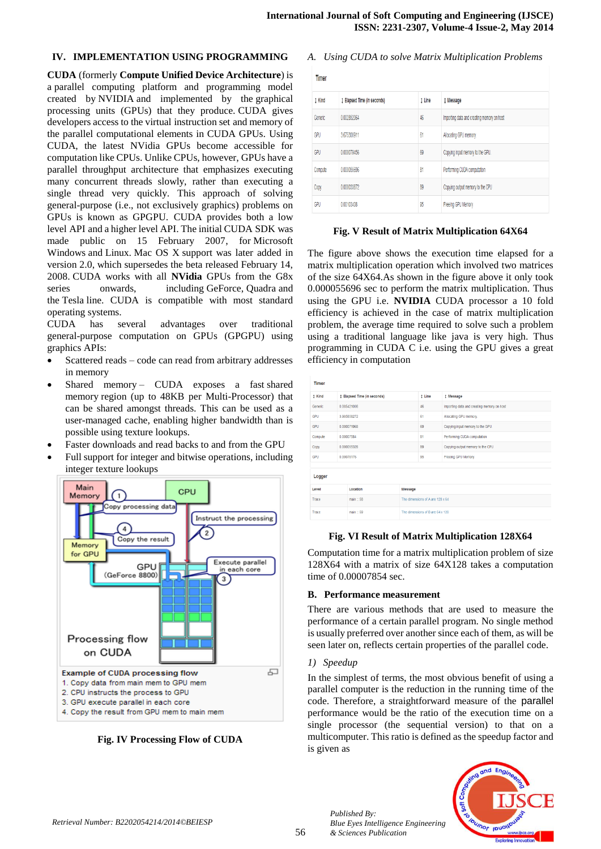#### **IV. IMPLEMENTATION USING PROGRAMMING**

**CUDA** (formerly **Compute Unified Device Architecture**) is a parallel computing platform and programming model created by NVIDIA and implemented by the graphical processing units (GPUs) that they produce. CUDA gives developers access to the virtual instruction set and memory of the parallel computational elements in CUDA GPUs. Using CUDA, the latest NVidia GPUs become accessible for computation like CPUs. Unlike CPUs, however, GPUs have a parallel throughput architecture that emphasizes executing many concurrent threads slowly, rather than executing a single thread very quickly. This approach of solving general-purpose (i.e., not exclusively graphics) problems on GPUs is known as GPGPU. CUDA provides both a low level API and a higher level API. The initial CUDA SDK was made public on 15 February 2007, for Microsoft Windows and Linux. Mac OS X support was later added in version 2.0, which supersedes the beta released February 14, 2008. CUDA works with all **NVidia** GPUs from the G8x series onwards, including GeForce, Quadra and the Tesla line. CUDA is compatible with most standard operating systems.

CUDA has several advantages over traditional general-purpose computation on GPUs (GPGPU) using graphics APIs:

- Scattered reads code can read from arbitrary addresses in memory
- Shared memory CUDA exposes a fast shared memory region (up to 48KB per Multi-Processor) that can be shared amongst threads. This can be used as a user-managed cache, enabling higher bandwidth than is possible using texture lookups.
- Faster downloads and read backs to and from the GPU
- Full support for integer and bitwise operations, including integer texture lookups



**Fig. IV Processing Flow of CUDA**

## *A. Using CUDA to solve Matrix Multiplication Problems*

|  | ٧ |  |
|--|---|--|
|  |   |  |

| TIITICI |                             |        |                                            |  |  |  |
|---------|-----------------------------|--------|--------------------------------------------|--|--|--|
| t Kind  | 1 Elapsed Time (in seconds) | t Line | <b>1 Message</b>                           |  |  |  |
| Generic | 0.002852064                 | 46     | Importing data and creating memory on host |  |  |  |
| GPU     | 3.675300911                 | 61     | Allocating GPU memory.                     |  |  |  |
| GPU     | 0.000079456                 | 69     | Copying input memory to the GPU.           |  |  |  |
| Compute | 0.000055696                 | 81     | Performing CUDA computation                |  |  |  |
| Copy    | 0.000033872                 | 89     | Copying output memory to the CPU           |  |  |  |
| GPU     | 0.00103408                  | 95     | Freeing GPU Memory                         |  |  |  |

#### **Fig. V Result of Matrix Multiplication 64X64**

The figure above shows the execution time elapsed for a matrix multiplication operation which involved two matrices of the size 64X64.As shown in the figure above it only took 0.000055696 sec to perform the matrix multiplication. Thus using the GPU i.e. **NVIDIA** CUDA processor a 10 fold efficiency is achieved in the case of matrix multiplication problem, the average time required to solve such a problem using a traditional language like java is very high. Thus programming in CUDA C i.e. using the GPU gives a great efficiency in computation

| Timer                |             |                                  |         |                                  |                                            |  |  |
|----------------------|-------------|----------------------------------|---------|----------------------------------|--------------------------------------------|--|--|
| 1 Kind               |             | # Elapsed Time (in seconds)      |         | I Line                           | <b>1 Message</b>                           |  |  |
| Generic              |             | 0.005421008                      |         | 46                               | Importing data and creating memory on host |  |  |
| <b>GPU</b>           |             | 3 905858272                      |         | 61                               | Allocating GPU memory.                     |  |  |
| GPU                  | 0.000071968 |                                  | 69      | Copying input memory to the GPU. |                                            |  |  |
| Compute              |             | 0.00007584                       |         | 81                               | Performing CUDA computation                |  |  |
| Copy                 |             | 0.000055328                      |         | 89                               | Copying output memory to the CPU           |  |  |
| <b>GPU</b>           |             | 0.00078176                       |         | 95                               | Freeing GPU Memory                         |  |  |
| Logger               |             |                                  |         |                                  |                                            |  |  |
| Level                |             | Location                         | Message |                                  |                                            |  |  |
| $main = 58$<br>Trace |             | The dimensions of A are 128 x 64 |         |                                  |                                            |  |  |
| $main = 59$<br>Trace |             | The dimensions of B are 64 x 128 |         |                                  |                                            |  |  |

## **Fig. VI Result of Matrix Multiplication 128X64**

Computation time for a matrix multiplication problem of size 128X64 with a matrix of size 64X128 takes a computation time of 0.00007854 sec.

## **B. Performance measurement**

There are various methods that are used to measure the performance of a certain parallel program. No single method is usually preferred over another since each of them, as will be seen later on, reflects certain properties of the parallel code.

#### *1) Speedup*

*Published By:*

*& Sciences Publication* 

*Blue Eyes Intelligence Engineering* 

In the simplest of terms, the most obvious benefit of using a parallel computer is the reduction in the running time of the code. Therefore, a straightforward measure of the parallel performance would be the ratio of the execution time on a single processor (the sequential version) to that on a multicomputer. This ratio is defined as the speedup factor and is given as

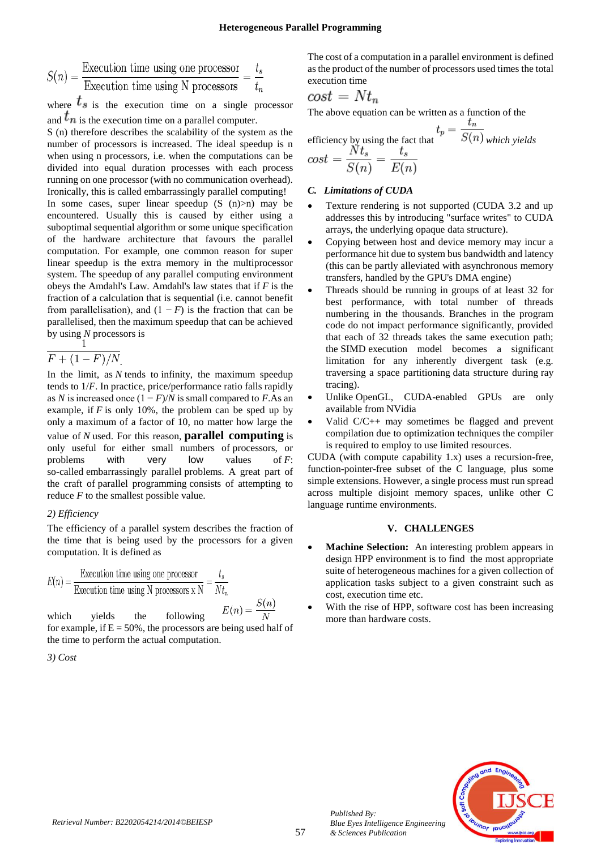$$
S(n) = \frac{\text{Execution time using one processor}}{\text{Execution time using N processors}} = \frac{t_s}{t_n}
$$

where  $t_s$  is the execution time on a single processor and  $t_n$  is the execution time on a parallel computer.

S (n) therefore describes the scalability of the system as the number of processors is increased. The ideal speedup is n when using n processors, i.e. when the computations can be divided into equal duration processes with each process running on one processor (with no communication overhead). Ironically, this is called embarrassingly parallel computing! In some cases, super linear speedup  $(S(n)>n)$  may be encountered. Usually this is caused by either using a suboptimal sequential algorithm or some unique specification of the hardware architecture that favours the parallel computation. For example, one common reason for super linear speedup is the extra memory in the multiprocessor system. The speedup of any parallel computing environment obeys the Amdahl's Law. Amdahl's law states that if *F* is the fraction of a calculation that is sequential (i.e. cannot benefit from parallelisation), and  $(1 - F)$  is the fraction that can be parallelised, then the maximum speedup that can be achieved by using *N* processors is

$$
\frac{F + (1 - F)}{N}
$$

In the limit, as *N* tends to infinity, the maximum speedup tends to 1/*F*. In practice, price/performance ratio falls rapidly as *N* is increased once  $(1 - F)/N$  is small compared to *F*.As an example, if *F* is only 10%, the problem can be sped up by only a maximum of a factor of 10, no matter how large the value of *N* used. For this reason, **parallel computing** is only useful for either small numbers of processors, or problems with very low values of *F*: so-called embarrassingly parallel problems. A great part of the craft of parallel programming consists of attempting to reduce *F* to the smallest possible value.

#### *2) Efficiency*

The efficiency of a parallel system describes the fraction of the time that is being used by the processors for a given computation. It is defined as

$$
E(n) = \frac{\text{Execution time using one processor}}{\text{Execution time using N processors x N}} = \frac{t_s}{N t_n}
$$

which yields the following for example, if  $E = 50\%$ , the processors are being used half of the time to perform the actual computation.

*3) Cost*

The cost of a computation in a parallel environment is defined as the product of the number of processors used times the total execution time

$$
cost = Nt_n
$$

The above equation can be written as a function of the

efficiency by using the fact that  
\n
$$
t_p = \frac{c_n}{S(n)}
$$
\n
$$
cost = \frac{Nt_s}{S(n)} = \frac{t_s}{E(n)}
$$

#### *C. Limitations of CUDA*

- Texture rendering is not supported (CUDA 3.2 and up addresses this by introducing "surface writes" to CUDA arrays, the underlying opaque data structure).
- Copying between host and device memory may incur a performance hit due to system bus bandwidth and latency (this can be partly alleviated with asynchronous memory transfers, handled by the GPU's DMA engine)
- Threads should be running in groups of at least 32 for best performance, with total number of threads numbering in the thousands. Branches in the program code do not impact performance significantly, provided that each of 32 threads takes the same execution path; the SIMD execution model becomes a significant limitation for any inherently divergent task (e.g. traversing a space partitioning data structure during ray tracing).
- Unlike OpenGL, CUDA-enabled GPUs are only available from NVidia
- Valid C/C++ may sometimes be flagged and prevent compilation due to optimization techniques the compiler is required to employ to use limited resources.

CUDA (with compute capability 1.x) uses a recursion-free, function-pointer-free subset of the C language, plus some simple extensions. However, a single process must run spread across multiple disjoint memory spaces, unlike other C language runtime environments.

#### **V. CHALLENGES**

- **Machine Selection:** An interesting problem appears in design HPP environment is to find the most appropriate suite of heterogeneous machines for a given collection of application tasks subject to a given constraint such as cost, execution time etc.
- With the rise of HPP, software cost has been increasing more than hardware costs.



*Published By:*

*& Sciences Publication* 

*Blue Eyes Intelligence Engineering*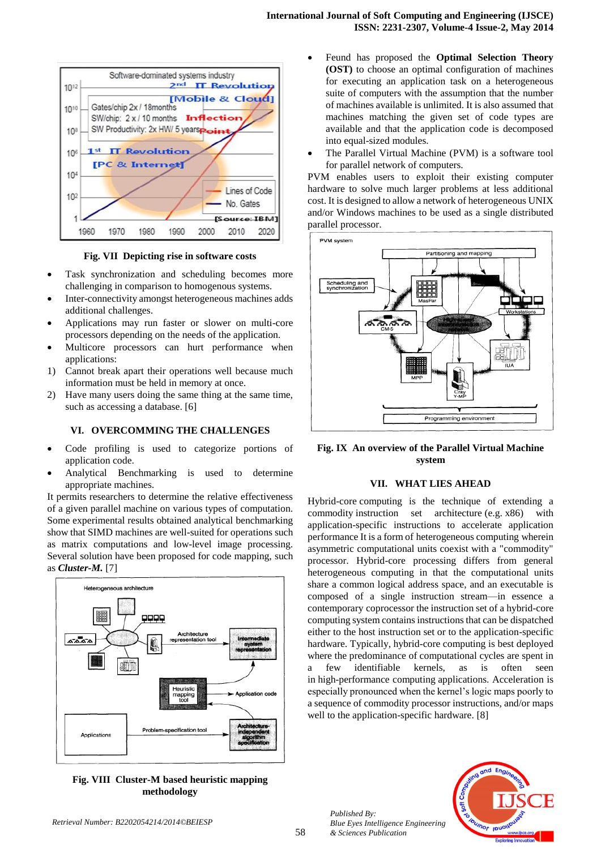

**Fig. VII Depicting rise in software costs**

- Task synchronization and scheduling becomes more challenging in comparison to homogenous systems.
- Inter-connectivity amongst heterogeneous machines adds additional challenges.
- Applications may run faster or slower on multi-core processors depending on the needs of the application.
- Multicore processors can hurt performance when applications:
- 1) Cannot break apart their operations well because much information must be held in memory at once.
- 2) Have many users doing the same thing at the same time, such as accessing a database. [6]

#### **VI. OVERCOMMING THE CHALLENGES**

- Code profiling is used to categorize portions of application code.
- Analytical Benchmarking is used to determine appropriate machines.

It permits researchers to determine the relative effectiveness of a given parallel machine on various types of computation. Some experimental results obtained analytical benchmarking show that SIMD machines are well-suited for operations such as matrix computations and low-level image processing. Several solution have been proposed for code mapping, such as *Cluster-M.* [7]



**Fig. VIII Cluster-M based heuristic mapping methodology**

- Feund has proposed the **Optimal Selection Theory (OST)** to choose an optimal configuration of machines for executing an application task on a heterogeneous suite of computers with the assumption that the number of machines available is unlimited. It is also assumed that machines matching the given set of code types are available and that the application code is decomposed into equal-sized modules.
- The Parallel Virtual Machine (PVM) is a software tool for parallel network of computers.

PVM enables users to exploit their existing computer hardware to solve much larger problems at less additional cost. It is designed to allow a network of heterogeneous UNIX and/or Windows machines to be used as a single distributed parallel processor.



**Fig. IX An overview of the Parallel Virtual Machine system**

#### **VII. WHAT LIES AHEAD**

Hybrid-core computing is the technique of extending a commodity instruction set architecture (e.g. x86) with application-specific instructions to accelerate application performance It is a form of heterogeneous computing wherein asymmetric computational units coexist with a "commodity" processor. Hybrid-core processing differs from general heterogeneous computing in that the computational units share a common logical address space, and an executable is composed of a single instruction stream—in essence a contemporary coprocessor the instruction set of a hybrid-core computing system contains instructions that can be dispatched either to the host instruction set or to the application-specific hardware. Typically, hybrid-core computing is best deployed where the predominance of computational cycles are spent in a few identifiable kernels, as is often seen in high-performance computing applications. Acceleration is especially pronounced when the kernel's logic maps poorly to a sequence of commodity processor instructions, and/or maps well to the application-specific hardware. [8]